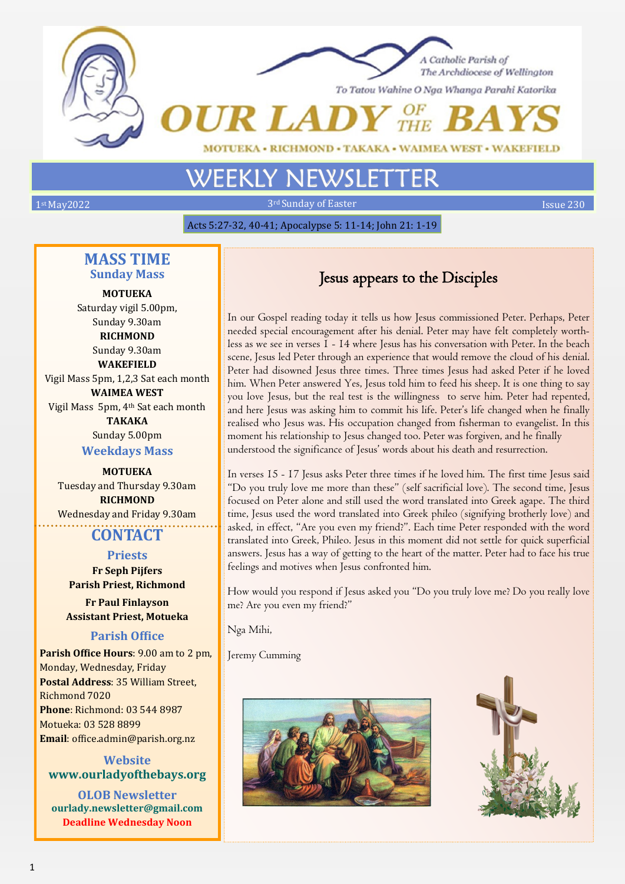



To Tatou Wahine O Nga Whanga Parahi Katorika

# • WAIMEA WEST • WAKEFIELD

1st May2022 3rd Sunday of Easter Issue 230

Acts 5:27-32, 40-41; Apocalypse 5: 11-14; John 21: 1-19

# **MASS TIME Sunday Mass**

**MOTUEKA**  Saturday vigil 5.00pm, Sunday 9.30am **RICHMOND** Sunday 9.30am

**WAKEFIELD** Vigil Mass 5pm, 1,2,3 Sat each month **WAIMEA WEST** Vigil Mass 5pm, 4th Sat each month **TAKAKA** Sunday 5.00pm

**Weekdays Mass**

**MOTUEKA** Tuesday and Thursday 9.30am **RICHMOND** Wednesday and Friday 9.30am

# **CONTACT**

#### **Priests**

**Fr Seph Pijfers Parish Priest, Richmond**

**Fr Paul Finlayson Assistant Priest, Motueka**

# **Parish Office**

**Parish Office Hours**: 9.00 am to 2 pm, Monday, Wednesday, Friday **Postal Address**: 35 William Street, Richmond 7020 **Phone**: Richmond: 03 544 8987 Motueka: 03 528 8899 **Email**: office.admin@parish.org.nz

**Website www.ourladyofthebays.org**

**OLOB Newsletter ourlady.newsletter@gmail.com Deadline Wednesday Noon**

# Jesus appears to the Disciples

In our Gospel reading today it tells us how Jesus commissioned Peter. Perhaps, Peter needed special encouragement after his denial. Peter may have felt completely worthless as we see in verses 1 - 14 where Jesus has his conversation with Peter. In the beach scene, Jesus led Peter through an experience that would remove the cloud of his denial. Peter had disowned Jesus three times. Three times Jesus had asked Peter if he loved him. When Peter answered Yes, Jesus told him to feed his sheep. It is one thing to say you love Jesus, but the real test is the willingness to serve him. Peter had repented, and here Jesus was asking him to commit his life. Peter's life changed when he finally realised who Jesus was. His occupation changed from fisherman to evangelist. In this moment his relationship to Jesus changed too. Peter was forgiven, and he finally understood the significance of Jesus' words about his death and resurrection.

In verses 15 - 17 Jesus asks Peter three times if he loved him. The first time Jesus said "Do you truly love me more than these" (self sacrificial love). The second time, Jesus focused on Peter alone and still used the word translated into Greek agape. The third time, Jesus used the word translated into Greek phileo (signifying brotherly love) and asked, in effect, "Are you even my friend?". Each time Peter responded with the word translated into Greek, Phileo. Jesus in this moment did not settle for quick superficial answers. Jesus has a way of getting to the heart of the matter. Peter had to face his true feelings and motives when Jesus confronted him.

How would you respond if Jesus asked you "Do you truly love me? Do you really love me? Are you even my friend?"

Nga Mihi,

Jeremy Cumming



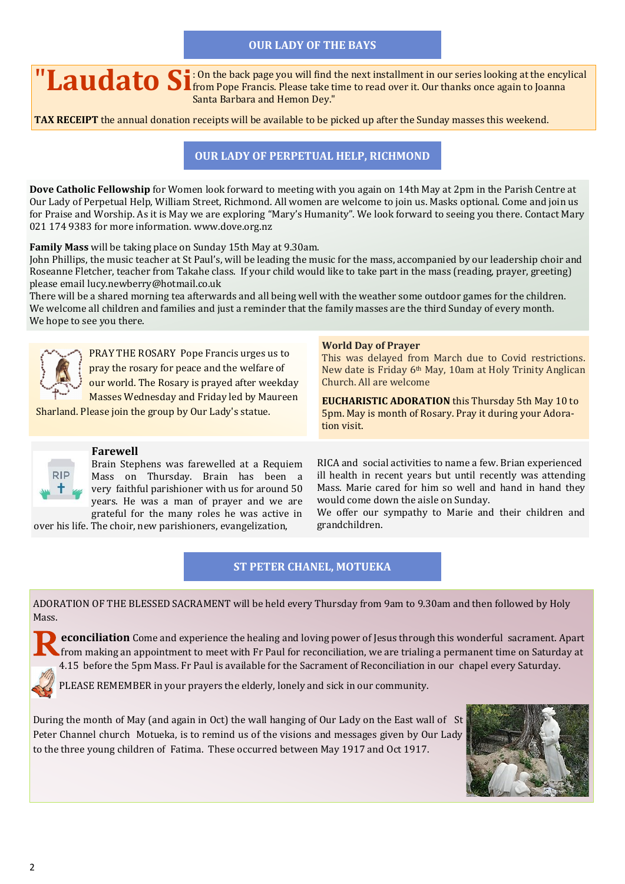# **OUR LADY OF THE BAYS**

**II Laudato Si**: <sup>On the back page you will find the next installment in our series looking at the encylical from Pope Francis. Please take time to read over it. Our thanks once again to Joanna</sup> Santa Barbara and Hemon Dey."

**TAX RECEIPT** the annual donation receipts will be available to be picked up after the Sunday masses this weekend.

# **OUR LADY OF PERPETUAL HELP, RICHMOND**

**Dove Catholic Fellowship** for Women look forward to meeting with you again on 14th May at 2pm in the Parish Centre at Our Lady of Perpetual Help, William Street, Richmond. All women are welcome to join us. Masks optional. Come and join us for Praise and Worship. As it is May we are exploring "Mary's Humanity". We look forward to seeing you there. Contact Mary 021 174 9383 for more information. www.dove.org.nz

**Family Mass** will be taking place on Sunday 15th May at 9.30am.

John Phillips, the music teacher at St Paul's, will be leading the music for the mass, accompanied by our leadership choir and Roseanne Fletcher, teacher from Takahe class. If your child would like to take part in the mass (reading, prayer, greeting) please email [lucy.newberry@hotmail.co.uk](mailto:lucy.newberry@hotmail.co.uk)

There will be a shared morning tea afterwards and all being well with the weather some outdoor games for the children. We welcome all children and families and just a reminder that the family masses are the third Sunday of every month. We hope to see you there.



PRAY THE ROSARY Pope Francis urges us to pray the rosary for peace and the welfare of our world. The Rosary is prayed after weekday Masses Wednesday and Friday led by Maureen

Sharland. Please join the group by Our Lady's statue.

#### **World Day of Prayer**

This was delayed from March due to Covid restrictions. New date is Friday 6th May, 10am at Holy Trinity Anglican Church. All are welcome

**EUCHARISTIC ADORATION** this Thursday 5th May 10 to 5pm. May is month of Rosary. Pray it during your Adoration visit.



#### **Farewell**

Brain Stephens was farewelled at a Requiem Mass on Thursday. Brain has been a very faithful parishioner with us for around 50 years. He was a man of prayer and we are grateful for the many roles he was active in

over his life. The choir, new parishioners, evangelization,

RICA and social activities to name a few. Brian experienced ill health in recent years but until recently was attending Mass. Marie cared for him so well and hand in hand they would come down the aisle on Sunday.

We offer our sympathy to Marie and their children and grandchildren.

# **ST PETER CHANEL, MOTUEKA**

ADORATION OF THE BLESSED SACRAMENT will be held every Thursday from 9am to 9.30am and then followed by Holy Mass.

**Exercicitation** Come and experience the healing and loving power of Jesus through this wonderful sacrament. Apart from making an appointment to meet with Fr Paul for reconciliation, we are trialing a permanent time on Sat **econciliation** Come and experience the healing and loving power of Jesus through this wonderful sacrament. Apart 4.15 before the 5pm Mass. Fr Paul is available for the Sacrament of Reconciliation in our chapel every Saturday.

PLEASE REMEMBER in your prayers the elderly, lonely and sick in our community.

During the month of May (and again in Oct) the wall hanging of Our Lady on the East wall of St Peter Channel church Motueka, is to remind us of the visions and messages given by Our Lady to the three young children of Fatima. These occurred between May 1917 and Oct 1917.